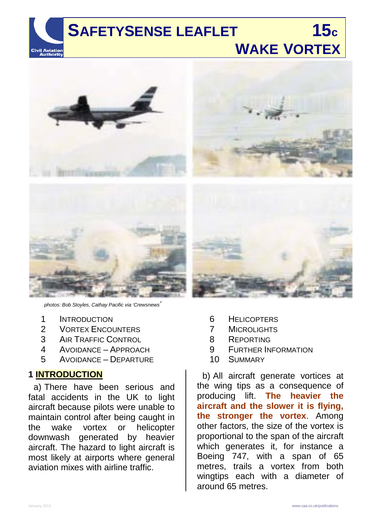

# **WAKE VORTEX**



*photos: Bob Stoyles, Cathay Pacific via 'Crewsnews'*

- 1 INTRODUCTION<br>2 VORTEX ENCOL
- **VORTEX ENCOUNTERS**
- 3 AIR TRAFFIC CONTROL
- 4 AVOIDANCE APPROACH
- 5 AVOIDANCE DEPARTURE

#### **1 INTRODUCTION**

a) There have been serious and fatal accidents in the UK to light aircraft because pilots were unable to maintain control after being caught in the wake vortex or helicopter downwash generated by heavier aircraft. The hazard to light aircraft is most likely at airports where general aviation mixes with airline traffic.

- 6 HELICOPTERS
- 7 MICROLIGHTS
- 8 REPORTING
- 9 FURTHER INFORMATION
- 10 SUMMARY

b) All aircraft generate vortices at the wing tips as a consequence of producing lift. **The heavier the aircraft and the slower it is flying, the stronger the vortex**. Among other factors, the size of the vortex is proportional to the span of the aircraft which generates it, for instance a Boeing 747, with a span of 65 metres, trails a vortex from both wingtips each with a diameter of around 65 metres.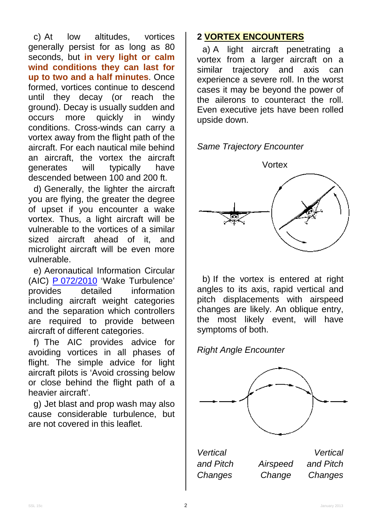c) At low altitudes, vortices generally persist for as long as 80 seconds, but **in very light or calm wind conditions they can last for up to two and a half minutes**. Once formed, vortices continue to descend until they decay (or reach the ground). Decay is usually sudden and<br>occurs more quickly in windy occurs more quickly in windy conditions. Cross-winds can carry a vortex away from the flight path of the aircraft. For each nautical mile behind an aircraft, the vortex the aircraft generates will typically have descended between 100 and 200 ft.

d) Generally, the lighter the aircraft you are flying, the greater the degree of upset if you encounter a wake vortex. Thus, a light aircraft will be vulnerable to the vortices of a similar sized aircraft ahead of it, and microlight aircraft will be even more vulnerable.

e) Aeronautical Information Circular (AIC)  $P O72/2010$  'Wake Turbulence' provides detailed information provides detailed information including aircraft weight categories and the separation which controllers are required to provide between aircraft of different categories.

f) The AIC provides advice for avoiding vortices in all phases of flight. The simple advice for light aircraft pilots is 'Avoid crossing below or close behind the flight path of a heavier aircraft'.

g) Jet blast and prop wash may also cause considerable turbulence, but are not covered in this leaflet.

#### **2 VORTEX ENCOUNTERS**

a) A light aircraft penetrating a vortex from a larger aircraft on a similar trajectory and axis can experience a severe roll. In the worst cases it may be beyond the power of the ailerons to counteract the roll. Even executive jets have been rolled upside down.

*Same Trajectory Encounter*



b) If the vortex is entered at right angles to its axis, rapid vertical and pitch displacements with airspeed changes are likely. An oblique entry, the most likely event, will have symptoms of both.

*Right Angle Encounter*



*Vertical Vertical*

*and Pitch Airspeed and Pitch Changes Change Changes*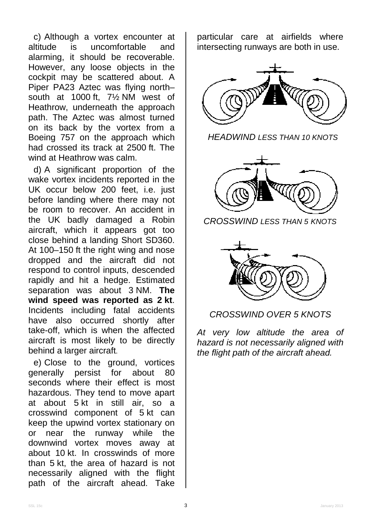c) Although a vortex encounter at altitude is uncomfortable and alarming, it should be recoverable. However, any loose objects in the cockpit may be scattered about. A Piper PA23 Aztec was flying north– south at 1000 ft, 7½ NM west of Heathrow, underneath the approach path. The Aztec was almost turned on its back by the vortex from a Boeing 757 on the approach which had crossed its track at 2500 ft. The wind at Heathrow was calm.

d) A significant proportion of the wake vortex incidents reported in the UK occur below 200 feet, i.e. just before landing where there may not be room to recover. An accident in the UK badly damaged a Robin aircraft, which it appears got too close behind a landing Short SD360. At 100–150 ft the right wing and nose dropped and the aircraft did not respond to control inputs, descended rapidly and hit a hedge. Estimated separation was about 3 NM. **The wind speed was reported as 2 kt**. Incidents including fatal accidents have also occurred shortly after take-off, which is when the affected aircraft is most likely to be directly behind a larger aircraft.

e) Close to the ground, vortices generally persist for about 80 seconds where their effect is most hazardous. They tend to move apart at about 5 kt in still air, so a crosswind component of 5 kt can keep the upwind vortex stationary on or near the runway while the downwind vortex moves away at about 10 kt. In crosswinds of more than 5 kt, the area of hazard is not necessarily aligned with the flight path of the aircraft ahead. Take

particular care at airfields where intersecting runways are both in use.



*HEADWIND LESS THAN 10 KNOTS*



*CROSSWIND LESS THAN 5 KNOTS*



#### *CROSSWIND OVER 5 KNOTS*

*At very low altitude the area of hazard is not necessarily aligned with the flight path of the aircraft ahead.*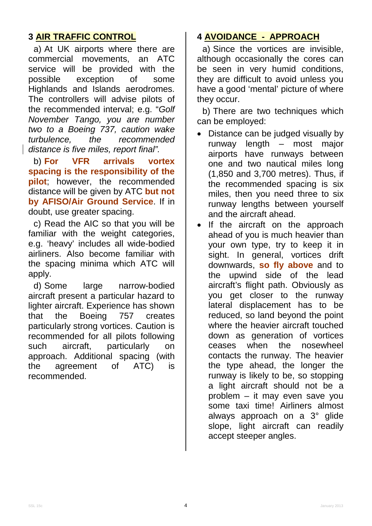# **3 AIR TRAFFIC CONTROL**

a) At UK airports where there are commercial movements, an ATC service will be provided with the possible exception of some Highlands and Islands aerodromes. The controllers will advise pilots of the recommended interval; e.g. "*Golf November Tango, you are number two to a Boeing 737, caution wake turbulence, the recommended distance is five miles, report final".* 

b) **For VFR arrivals vortex spacing is the responsibility of the pilot**; however, the recommended distance will be given by ATC **but not by AFISO/Air Ground Service**. If in doubt, use greater spacing.

c) Read the AIC so that you will be familiar with the weight categories, e.g. 'heavy' includes all wide-bodied airliners. Also become familiar with the spacing minima which ATC will apply.

d) Some large narrow-bodied aircraft present a particular hazard to lighter aircraft. Experience has shown that the Boeing 757 creates particularly strong vortices. Caution is recommended for all pilots following such aircraft, particularly on approach. Additional spacing (with the agreement of ATC) is recommended.

#### **4 AVOIDANCE - APPROACH**

a) Since the vortices are invisible, although occasionally the cores can be seen in very humid conditions, they are difficult to avoid unless you have a good 'mental' picture of where they occur.

b) There are two techniques which can be employed:

- Distance can be judged visually by runway length – most major airports have runways between one and two nautical miles long (1,850 and 3,700 metres). Thus, if the recommended spacing is six miles, then you need three to six runway lengths between yourself and the aircraft ahead.
- If the aircraft on the approach ahead of you is much heavier than your own type, try to keep it in sight. In general, vortices drift downwards, **so fly above** and to the upwind side of the lead aircraft's flight path. Obviously as you get closer to the runway lateral displacement has to be reduced, so land beyond the point where the heavier aircraft touched down as generation of vortices ceases when the nosewheel contacts the runway. The heavier the type ahead, the longer the runway is likely to be, so stopping a light aircraft should not be a problem – it may even save you some taxi time! Airliners almost always approach on a 3° glide slope, light aircraft can readily accept steeper angles.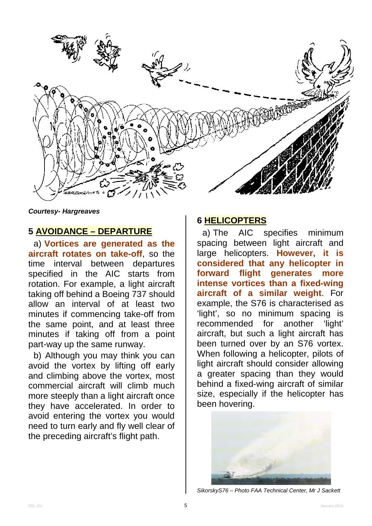

*Courtesy- Hargreaves*

#### **5 AVOIDANCE – DEPARTURE**

a) **Vortices are generated as the aircraft rotates on take-off**, so the time interval between departures specified in the AIC starts from rotation. For example, a light aircraft taking off behind a Boeing 737 should allow an interval of at least two minutes if commencing take-off from the same point, and at least three minutes if taking off from a point part-way up the same runway.

b) Although you may think you can avoid the vortex by lifting off early and climbing above the vortex, most commercial aircraft will climb much more steeply than a light aircraft once they have accelerated. In order to avoid entering the vortex you would need to turn early and fly well clear of the preceding aircraft's flight path.

#### **6 HELICOPTERS**

a) The AIC specifies minimum spacing between light aircraft and large helicopters. **However, it is considered that any helicopter in forward flight generates more intense vortices than a fixed-wing aircraft of a similar weight**. For example, the S76 is characterised as 'light', so no minimum spacing is recommended for another 'light' aircraft, but such a light aircraft has been turned over by an S76 vortex. When following a helicopter, pilots of light aircraft should consider allowing a greater spacing than they would behind a fixed-wing aircraft of similar size, especially if the helicopter has been hovering.



*SikorskyS76 – Photo FAA Technical Center, Mr J Sackett*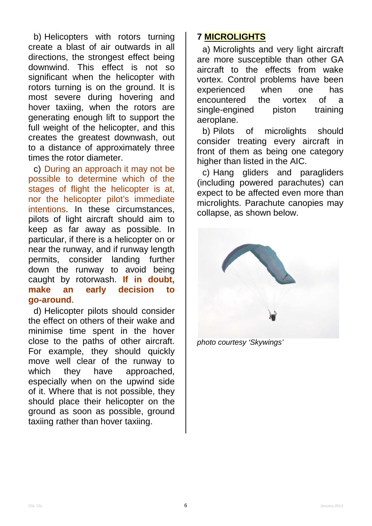b) Helicopters with rotors turning create a blast of air outwards in all directions, the strongest effect being downwind. This effect is not so significant when the helicopter with rotors turning is on the ground. It is most severe during hovering and hover taxiing, when the rotors are generating enough lift to support the full weight of the helicopter, and this creates the greatest downwash, out to a distance of approximately three times the rotor diameter.

c) During an approach it may not be possible to determine which of the stages of flight the helicopter is at, nor the helicopter pilot's immediate intentions. In these circumstances, pilots of light aircraft should aim to keep as far away as possible. In particular, if there is a helicopter on or near the runway, and if runway length permits, consider landing further down the runway to avoid being caught by rotorwash. **If in doubt, make an early decision to go-around**.

d) Helicopter pilots should consider the effect on others of their wake and minimise time spent in the hover close to the paths of other aircraft. For example, they should quickly move well clear of the runway to which they have approached, especially when on the upwind side of it. Where that is not possible, they should place their helicopter on the ground as soon as possible, ground taxiing rather than hover taxiing.

## **7 MICROLIGHTS**

a) Microlights and very light aircraft are more susceptible than other GA aircraft to the effects from wake vortex. Control problems have been experienced when one has encountered the vortex of a single-engined piston training aeroplane.

b) Pilots of microlights should consider treating every aircraft in front of them as being one category higher than listed in the AIC.

c) Hang gliders and paragliders (including powered parachutes) can expect to be affected even more than microlights. Parachute canopies may collapse, as shown below.



*photo courtesy 'Skywings'*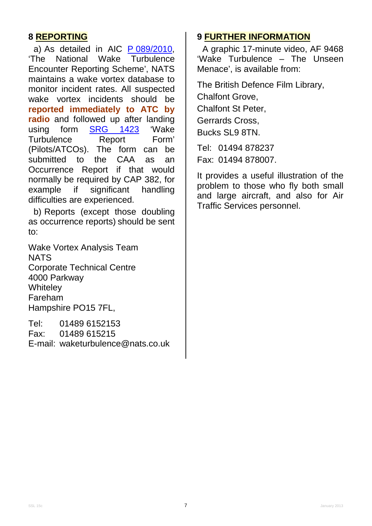## **8 REPORTING**

a) As detailed in AIC <u>P 089/2010</u>, 'The National Wake Turbulence Encounter Reporting Scheme', NATS maintains a wake vortex database to monitor incident rates. All suspected wake vortex incidents should be **reported immediately to ATC by radio** and followed up after landing using form [SRG 1423](http://www.caa.co.uk/srg1423) 'Wake Turbulence Report Form' (Pilots/ATCOs). The form can be submitted to the CAA as an Occurrence Report if that would normally be required by CAP 382, for<br>example if significant handling example if difficulties are experienced.

b) Reports (except those doubling as occurrence reports) should be sent to:

Wake Vortex Analysis Team **NATS** Corporate Technical Centre 4000 Parkway **Whiteley** Fareham Hampshire PO15 7FL,

Tel: 01489 6152153 Fax: 01489 615215 E-mail: waketurbulence@nats.co.uk

#### **9 FURTHER INFORMATION**

A graphic 17-minute video, AF 9468 'Wake Turbulence – The Unseen Menace', is available from:

The British Defence Film Library, Chalfont Grove, Chalfont St Peter, Gerrards Cross, Bucks SL9 8TN.

Tel: 01494 878237 Fax: 01494 878007.

It provides a useful illustration of the problem to those who fly both small and large aircraft, and also for Air Traffic Services personnel.